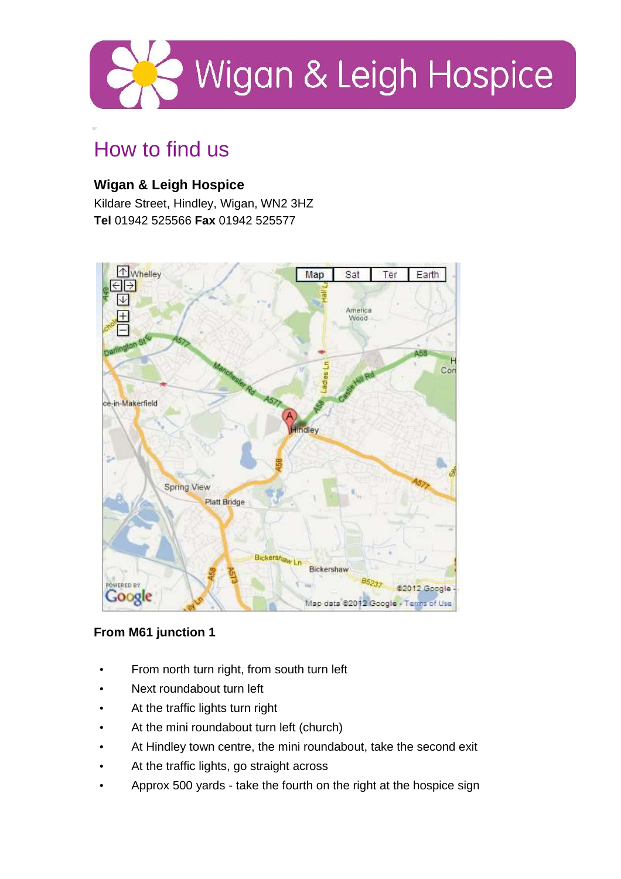

# How to find us

# **Wigan & Leigh Hospice**

Kildare Street, Hindley, Wigan, WN2 3HZ **Tel** 01942 525566 **Fax** 01942 525577



## **From M61 junction 1**

- From north turn right, from south turn left
- Next roundabout turn left
- At the traffic lights turn right
- At the mini roundabout turn left (church)
- At Hindley town centre, the mini roundabout, take the second exit
- At the traffic lights, go straight across
- Approx 500 yards take the fourth on the right at the hospice sign